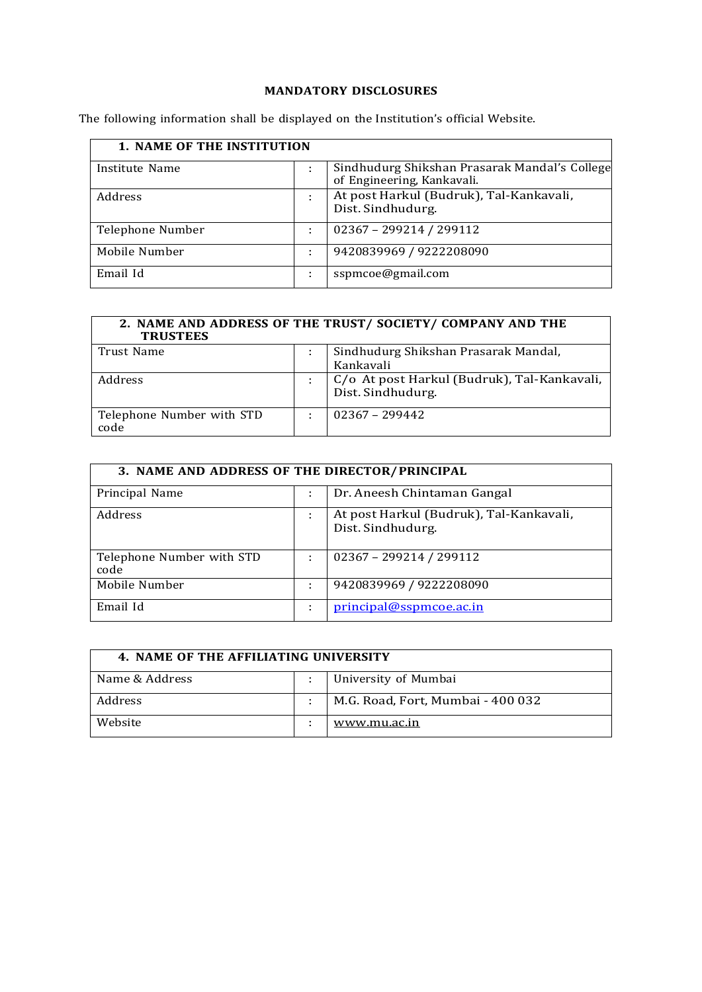### **MANDATORY DISCLOSURES**

The following information shall be displayed on the Institution's official Website.

| <b>1. NAME OF THE INSTITUTION</b> |   |                                                                             |  |
|-----------------------------------|---|-----------------------------------------------------------------------------|--|
| Institute Name                    |   | Sindhudurg Shikshan Prasarak Mandal's College<br>of Engineering, Kankavali. |  |
| Address                           | ÷ | At post Harkul (Budruk), Tal-Kankavali,<br>Dist. Sindhudurg.                |  |
| Telephone Number                  |   | 02367 - 299214 / 299112                                                     |  |
| Mobile Number                     |   | 9420839969 / 9222208090                                                     |  |
| Email Id                          |   | sspmcoe@gmail.com                                                           |  |

| 2. NAME AND ADDRESS OF THE TRUST/ SOCIETY/ COMPANY AND THE<br><b>TRUSTEES</b> |  |                                             |  |
|-------------------------------------------------------------------------------|--|---------------------------------------------|--|
| Trust Name                                                                    |  | Sindhudurg Shikshan Prasarak Mandal,        |  |
|                                                                               |  | Kankavali                                   |  |
| Address                                                                       |  | C/o At post Harkul (Budruk), Tal-Kankavali, |  |
|                                                                               |  | Dist. Sindhudurg.                           |  |
| Telephone Number with STD                                                     |  | $02367 - 299442$                            |  |
| code                                                                          |  |                                             |  |

| 3. NAME AND ADDRESS OF THE DIRECTOR/PRINCIPAL |   |                                                              |  |  |
|-----------------------------------------------|---|--------------------------------------------------------------|--|--|
| Principal Name                                | ÷ | Dr. Aneesh Chintaman Gangal                                  |  |  |
| Address                                       |   | At post Harkul (Budruk), Tal-Kankavali,<br>Dist. Sindhudurg. |  |  |
| Telephone Number with STD<br>code             |   | 02367 - 299214 / 299112                                      |  |  |
| Mobile Number                                 | ÷ | 9420839969 / 9222208090                                      |  |  |
| Email Id                                      |   | principal@sspmcoe.ac.in                                      |  |  |

| 4. NAME OF THE AFFILIATING UNIVERSITY |  |                                   |  |
|---------------------------------------|--|-----------------------------------|--|
| Name & Address                        |  | University of Mumbai              |  |
| <b>Address</b>                        |  | M.G. Road, Fort, Mumbai - 400 032 |  |
| Website                               |  | www.mu.ac.in                      |  |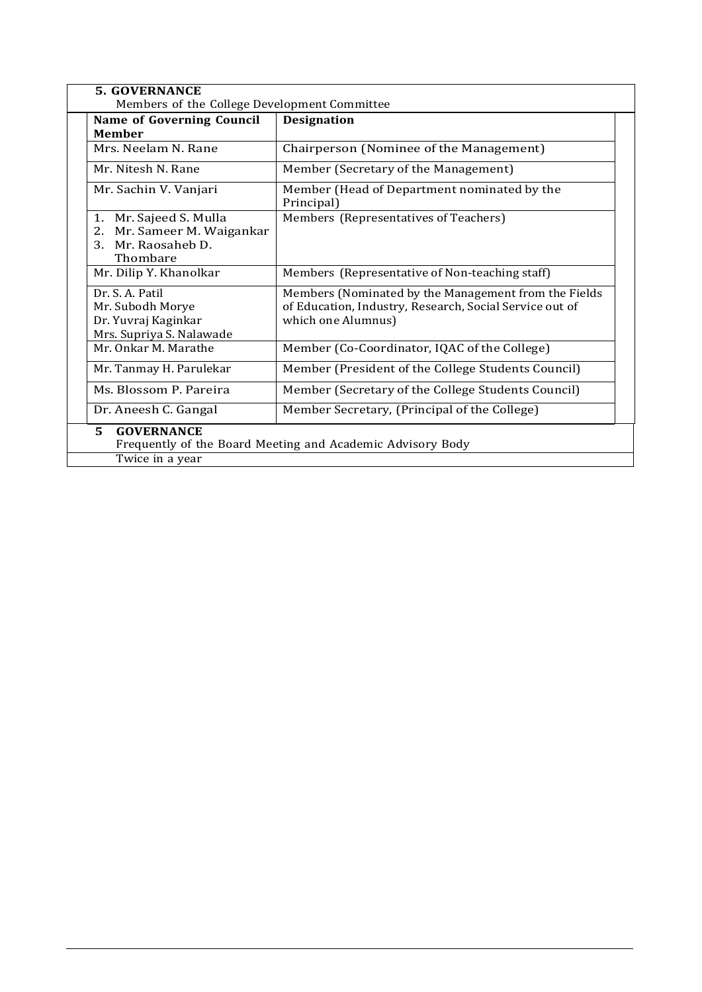| <b>5. GOVERNANCE</b><br>Members of the College Development Committee                                     |                                                                                                                                       |  |  |
|----------------------------------------------------------------------------------------------------------|---------------------------------------------------------------------------------------------------------------------------------------|--|--|
| <b>Name of Governing Council</b><br><b>Designation</b><br><b>Member</b>                                  |                                                                                                                                       |  |  |
| Mrs. Neelam N. Rane                                                                                      | Chairperson (Nominee of the Management)                                                                                               |  |  |
| Mr. Nitesh N. Rane                                                                                       | Member (Secretary of the Management)                                                                                                  |  |  |
| Mr. Sachin V. Vanjari                                                                                    | Member (Head of Department nominated by the<br>Principal)                                                                             |  |  |
| Mr. Sajeed S. Mulla<br>1.<br>Mr. Sameer M. Waigankar<br>2.<br>Mr. Raosaheb D.<br>3.<br>Thombare          | Members (Representatives of Teachers)                                                                                                 |  |  |
| Mr. Dilip Y. Khanolkar                                                                                   | Members (Representative of Non-teaching staff)                                                                                        |  |  |
| Dr. S. A. Patil<br>Mr. Subodh Morye<br>Dr. Yuvraj Kaginkar<br>Mrs. Supriya S. Nalawade                   | Members (Nominated by the Management from the Fields<br>of Education, Industry, Research, Social Service out of<br>which one Alumnus) |  |  |
| Mr. Onkar M. Marathe                                                                                     | Member (Co-Coordinator, IQAC of the College)                                                                                          |  |  |
| Mr. Tanmay H. Parulekar                                                                                  | Member (President of the College Students Council)                                                                                    |  |  |
| Ms. Blossom P. Pareira<br>Member (Secretary of the College Students Council)                             |                                                                                                                                       |  |  |
| Dr. Aneesh C. Gangal                                                                                     | Member Secretary, (Principal of the College)                                                                                          |  |  |
| 5.<br><b>GOVERNANCE</b><br>Frequently of the Board Meeting and Academic Advisory Body<br>Twice in a year |                                                                                                                                       |  |  |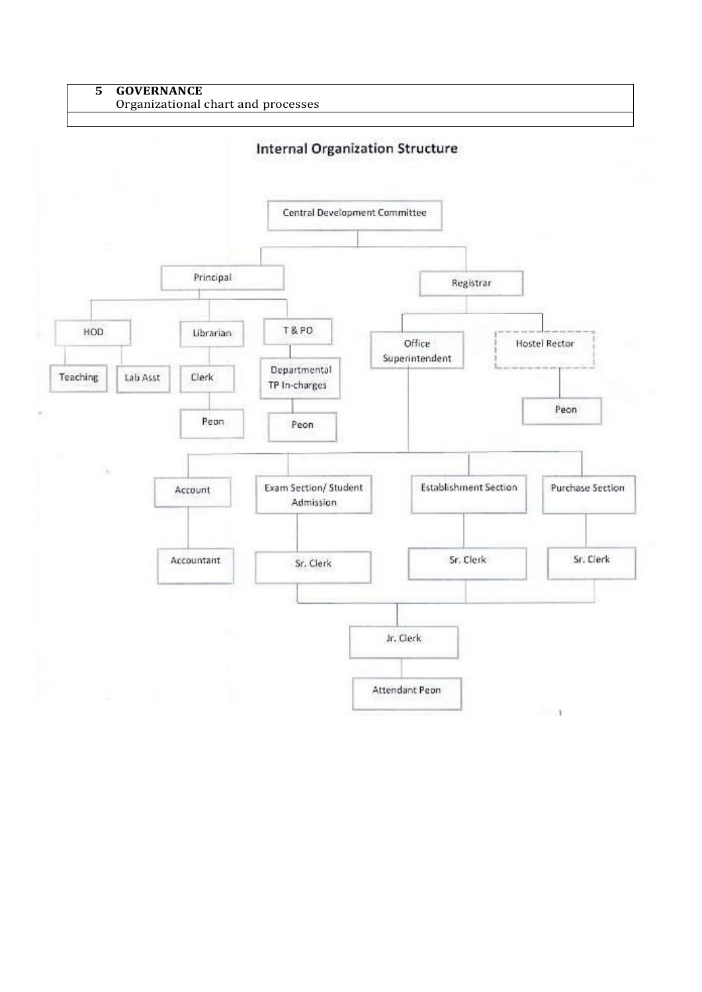#### **5 GOVERNANCE** Organizational chart and processes

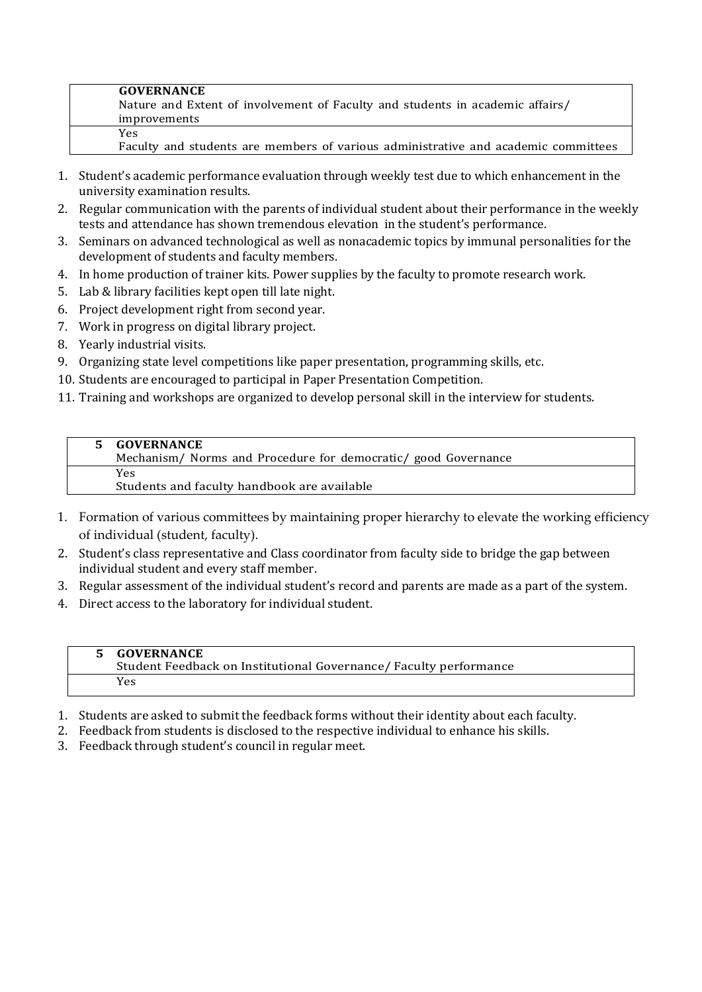| <b>GOVERNANCE</b>                                                                  |
|------------------------------------------------------------------------------------|
| Nature and Extent of involvement of Faculty and students in academic affairs/      |
| improvements                                                                       |
| Yes.                                                                               |
| Faculty and students are members of various administrative and academic committees |

- 1. Student's academic performance evaluation through weekly test due to which enhancement in the university examination results.
- 2. Regular communication with the parents of individual student about their performance in the weekly tests and attendance has shown tremendous elevation in the student's performance.
- 3. Seminars on advanced technological as well as nonacademic topics by immunal personalities for the development of students and faculty members.
- 4. In home production of trainer kits. Power supplies by the faculty to promote research work.
- 5. Lab & library facilities kept open till late night.
- 6. Project development right from second year.
- 7. Work in progress on digital library project.
- 8. Yearly industrial visits.
- 9. Organizing state level competitions like paper presentation, programming skills, etc.
- 10. Students are encouraged to participal in Paper Presentation Competition.
- 11. Training and workshops are organized to develop personal skill in the interview for students.

| 5 GOVERNANCE                                                   |
|----------------------------------------------------------------|
| Mechanism/ Norms and Procedure for democratic/ good Governance |
| <b>Yes</b>                                                     |
| Students and faculty handbook are available                    |

- 1. Formation of various committees by maintaining proper hierarchy to elevate the working efficiency of individual (student, faculty).
- 2. Student's class representative and Class coordinator from faculty side to bridge the gap between individual student and every staff member.
- 3. Regular assessment of the individual student's record and parents are made as a part of the system.
- 4. Direct access to the laboratory for individual student.

# **5 GOVERNANCE**

Student Feedback on Institutional Governance/ Faculty performance Yes

- 1. Students are asked to submit the feedback forms without their identity about each faculty.
- 2. Feedback from students is disclosed to the respective individual to enhance his skills.
- 3. Feedback through student's council in regular meet.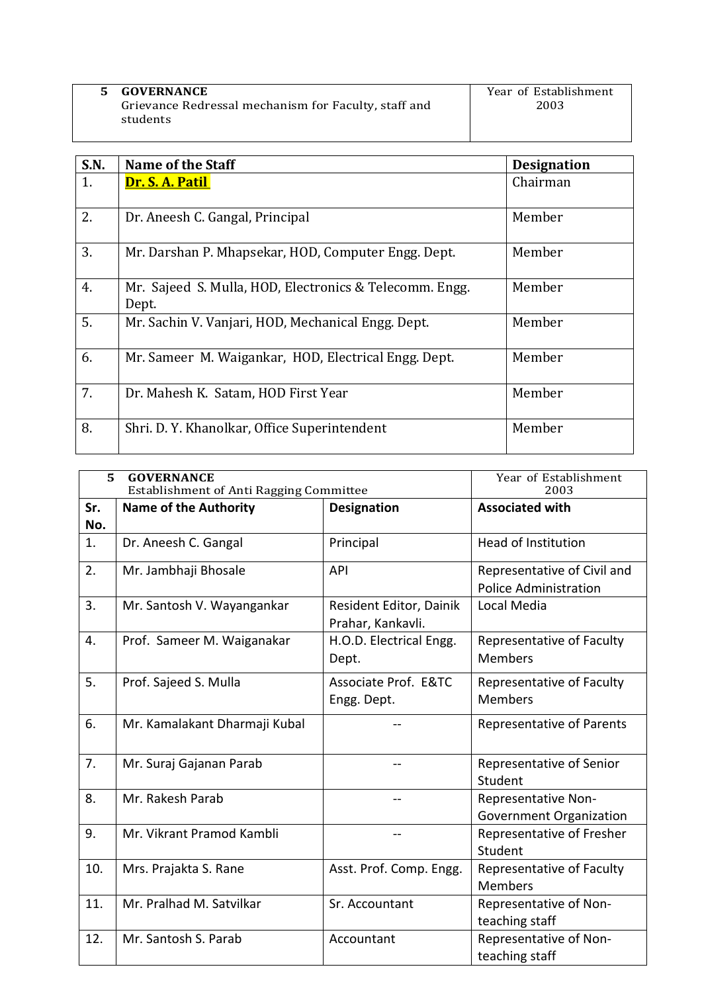| <b>GOVERNANCE</b>                                    | Year of Establishment |
|------------------------------------------------------|-----------------------|
| Grievance Redressal mechanism for Faculty, staff and | 2003                  |
| students                                             |                       |
|                                                      |                       |

| <b>S.N.</b> | <b>Name of the Staff</b>                                         | <b>Designation</b> |
|-------------|------------------------------------------------------------------|--------------------|
| 1.          | Dr. S. A. Patil                                                  | Chairman           |
| 2.          | Dr. Aneesh C. Gangal, Principal                                  | Member             |
| 3.          | Mr. Darshan P. Mhapsekar, HOD, Computer Engg. Dept.              | Member             |
| 4.          | Mr. Sajeed S. Mulla, HOD, Electronics & Telecomm. Engg.<br>Dept. | Member             |
| 5.          | Mr. Sachin V. Vanjari, HOD, Mechanical Engg. Dept.               | Member             |
| 6.          | Mr. Sameer M. Waigankar, HOD, Electrical Engg. Dept.             | Member             |
| 7.          | Dr. Mahesh K. Satam, HOD First Year                              | Member             |
| 8.          | Shri. D. Y. Khanolkar, Office Superintendent                     | Member             |

| 5<br><b>GOVERNANCE</b><br><b>Establishment of Anti Ragging Committee</b> |                               |                                              | Year of Establishment<br>2003                               |
|--------------------------------------------------------------------------|-------------------------------|----------------------------------------------|-------------------------------------------------------------|
| Sr.<br>No.                                                               | <b>Name of the Authority</b>  | <b>Designation</b>                           | <b>Associated with</b>                                      |
| 1.                                                                       | Dr. Aneesh C. Gangal          | Principal                                    | <b>Head of Institution</b>                                  |
| 2.                                                                       | Mr. Jambhaji Bhosale          | <b>API</b>                                   | Representative of Civil and<br><b>Police Administration</b> |
| 3.                                                                       | Mr. Santosh V. Wayangankar    | Resident Editor, Dainik<br>Prahar, Kankavli. | Local Media                                                 |
| 4.                                                                       | Prof. Sameer M. Waiganakar    | H.O.D. Electrical Engg.<br>Dept.             | Representative of Faculty<br><b>Members</b>                 |
| 5.                                                                       | Prof. Sajeed S. Mulla         | Associate Prof. E&TC<br>Engg. Dept.          | Representative of Faculty<br><b>Members</b>                 |
| 6.                                                                       | Mr. Kamalakant Dharmaji Kubal |                                              | <b>Representative of Parents</b>                            |
| 7.                                                                       | Mr. Suraj Gajanan Parab       |                                              | Representative of Senior<br>Student                         |
| 8.                                                                       | Mr. Rakesh Parab              |                                              | Representative Non-<br><b>Government Organization</b>       |
| 9.                                                                       | Mr. Vikrant Pramod Kambli     |                                              | Representative of Fresher<br>Student                        |
| 10.                                                                      | Mrs. Prajakta S. Rane         | Asst. Prof. Comp. Engg.                      | Representative of Faculty<br><b>Members</b>                 |
| 11.                                                                      | Mr. Pralhad M. Satvilkar      | Sr. Accountant                               | Representative of Non-<br>teaching staff                    |
| 12.                                                                      | Mr. Santosh S. Parab          | Accountant                                   | Representative of Non-<br>teaching staff                    |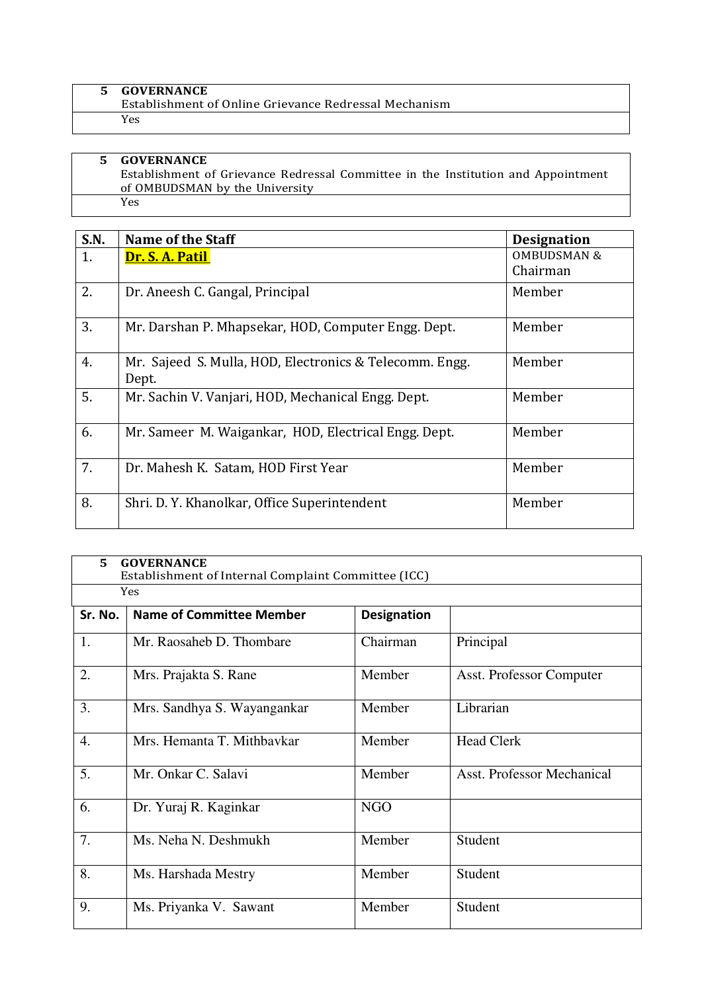| <b>GOVERNANCE</b>                                     |
|-------------------------------------------------------|
| Establishment of Online Grievance Redressal Mechanism |
| Yes                                                   |

#### **5 GOVERNANCE** Establishment of Grievance Redressal Committee in the Institution and Appointment of OMBUDSMAN by the University Yes

| <b>S.N.</b> | Name of the Staff                                                | <b>Designation</b>     |
|-------------|------------------------------------------------------------------|------------------------|
| 1.          | Dr. S. A. Patil                                                  | <b>OMBUDSMAN &amp;</b> |
|             |                                                                  | Chairman               |
| 2.          | Dr. Aneesh C. Gangal, Principal                                  | Member                 |
| 3.          | Mr. Darshan P. Mhapsekar, HOD, Computer Engg. Dept.              | Member                 |
| 4.          | Mr. Sajeed S. Mulla, HOD, Electronics & Telecomm. Engg.<br>Dept. | Member                 |
| 5.          | Mr. Sachin V. Vanjari, HOD, Mechanical Engg. Dept.               | Member                 |
| 6.          | Mr. Sameer M. Waigankar, HOD, Electrical Engg. Dept.             | Member                 |
| 7.          | Dr. Mahesh K. Satam, HOD First Year                              | Member                 |
| 8.          | Shri. D. Y. Khanolkar, Office Superintendent                     | Member                 |

| 5.      | <b>GOVERNANCE</b><br>Establishment of Internal Complaint Committee (ICC) |                    |                                   |  |  |  |  |  |  |
|---------|--------------------------------------------------------------------------|--------------------|-----------------------------------|--|--|--|--|--|--|
|         | <b>Yes</b>                                                               |                    |                                   |  |  |  |  |  |  |
| Sr. No. | <b>Name of Committee Member</b>                                          | <b>Designation</b> |                                   |  |  |  |  |  |  |
| 1.      | Mr. Raosaheb D. Thombare                                                 | Chairman           | Principal                         |  |  |  |  |  |  |
| 2.      | Mrs. Prajakta S. Rane                                                    | Member             | <b>Asst. Professor Computer</b>   |  |  |  |  |  |  |
| 3.      | Mrs. Sandhya S. Wayangankar                                              | Member             | Librarian                         |  |  |  |  |  |  |
| 4.      | Mrs. Hemanta T. Mithbavkar                                               | Member             | <b>Head Clerk</b>                 |  |  |  |  |  |  |
| 5.      | Mr. Onkar C. Salavi                                                      | Member             | <b>Asst. Professor Mechanical</b> |  |  |  |  |  |  |
| 6.      | Dr. Yuraj R. Kaginkar                                                    | <b>NGO</b>         |                                   |  |  |  |  |  |  |
| 7.      | Ms. Neha N. Deshmukh                                                     | Member             | Student                           |  |  |  |  |  |  |
| 8.      | Ms. Harshada Mestry                                                      | Member             | Student                           |  |  |  |  |  |  |
| 9.      | Ms. Priyanka V. Sawant                                                   | Member             | Student                           |  |  |  |  |  |  |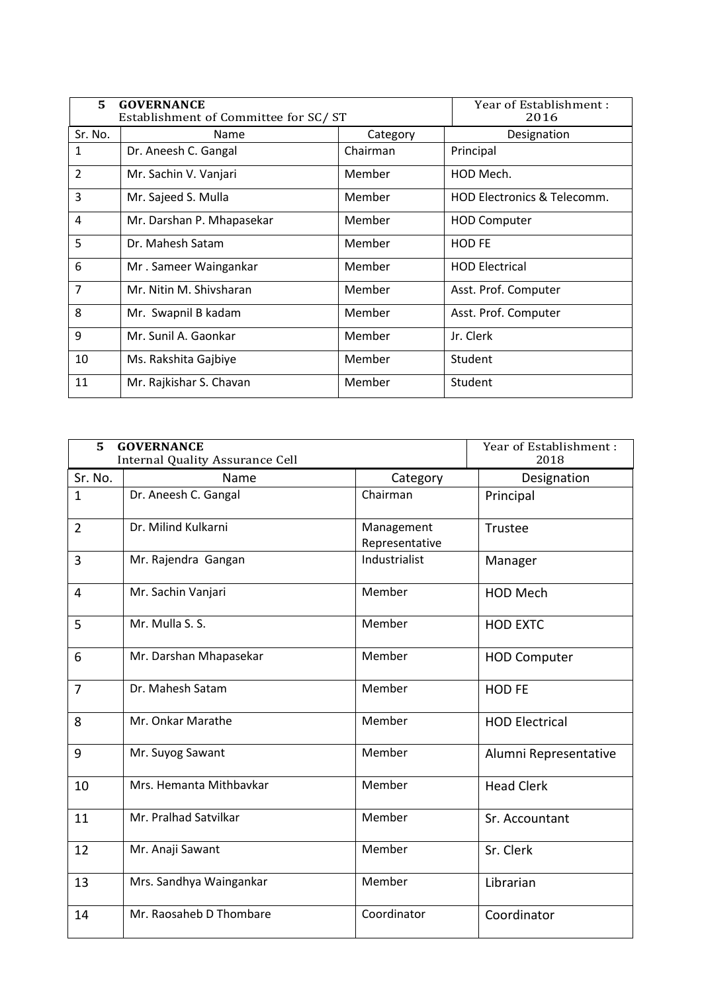| 5.             | <b>GOVERNANCE</b><br>Establishment of Committee for SC/ST | Year of Establishment:<br>2016 |                                        |
|----------------|-----------------------------------------------------------|--------------------------------|----------------------------------------|
| Sr. No.        | Name                                                      | Category                       | Designation                            |
| 1              | Dr. Aneesh C. Gangal                                      | Chairman                       | Principal                              |
| $\overline{2}$ | Mr. Sachin V. Vanjari                                     | Member                         | HOD Mech.                              |
| 3              | Mr. Sajeed S. Mulla                                       | Member                         | <b>HOD Electronics &amp; Telecomm.</b> |
| 4              | Mr. Darshan P. Mhapasekar                                 | Member                         | <b>HOD Computer</b>                    |
| 5              | Dr. Mahesh Satam                                          | Member                         | <b>HOD FE</b>                          |
| 6              | Mr. Sameer Waingankar                                     | Member                         | <b>HOD Electrical</b>                  |
| $\overline{7}$ | Mr. Nitin M. Shivsharan                                   | Member                         | Asst. Prof. Computer                   |
| 8              | Mr. Swapnil B kadam                                       | Member                         | Asst. Prof. Computer                   |
| 9              | Mr. Sunil A. Gaonkar                                      | Member                         | Jr. Clerk                              |
| 10             | Ms. Rakshita Gajbiye                                      | Member                         | Student                                |
| 11             | Mr. Rajkishar S. Chavan                                   | Member                         | Student                                |

| 5              | <b>GOVERNANCE</b><br><b>Internal Quality Assurance Cell</b> |                              | Year of Establishment:<br>2018 |
|----------------|-------------------------------------------------------------|------------------------------|--------------------------------|
| Sr. No.        | Name                                                        | Category                     | Designation                    |
| $\mathbf{1}$   | Dr. Aneesh C. Gangal                                        | Chairman                     | Principal                      |
| $\overline{2}$ | Dr. Milind Kulkarni                                         | Management<br>Representative | Trustee                        |
| 3              | Mr. Rajendra Gangan                                         | Industrialist                | Manager                        |
| 4              | Mr. Sachin Vanjari                                          | Member                       | <b>HOD Mech</b>                |
| 5              | Mr. Mulla S. S.                                             | Member                       | <b>HOD EXTC</b>                |
| 6              | Mr. Darshan Mhapasekar                                      | Member                       | <b>HOD Computer</b>            |
| $\overline{7}$ | Dr. Mahesh Satam                                            | Member                       | <b>HOD FE</b>                  |
| 8              | Mr. Onkar Marathe                                           | Member                       | <b>HOD Electrical</b>          |
| 9              | Mr. Suyog Sawant                                            | Member                       | Alumni Representative          |
| 10             | Mrs. Hemanta Mithbavkar                                     | Member                       | <b>Head Clerk</b>              |
| 11             | Mr. Pralhad Satvilkar                                       | Member                       | Sr. Accountant                 |
| 12             | Mr. Anaji Sawant                                            | Member                       | Sr. Clerk                      |
| 13             | Mrs. Sandhya Waingankar                                     | Member                       | Librarian                      |
| 14             | Mr. Raosaheb D Thombare                                     | Coordinator                  | Coordinator                    |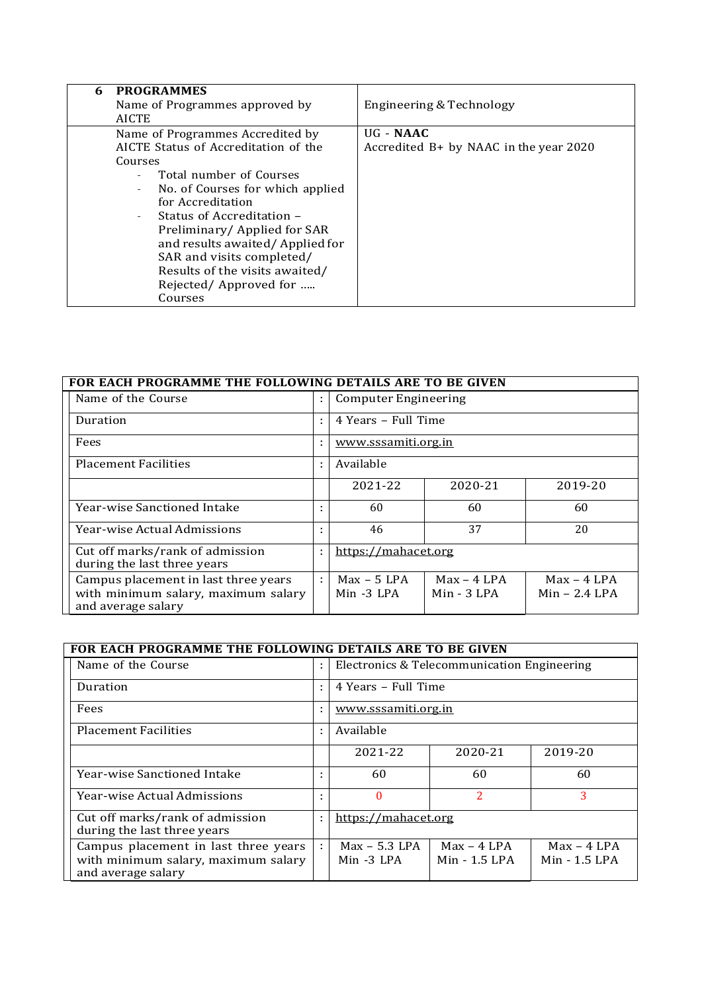| <b>PROGRAMMES</b><br>6               |                                          |
|--------------------------------------|------------------------------------------|
| Name of Programmes approved by       | Engineering & Technology                 |
| <b>AICTE</b>                         |                                          |
| Name of Programmes Accredited by     | $UG - NAAC$                              |
| AICTE Status of Accreditation of the | Accredited $B+$ by NAAC in the year 2020 |
| Courses                              |                                          |
| Total number of Courses              |                                          |
| No. of Courses for which applied     |                                          |
| for Accreditation                    |                                          |
| Status of Accreditation -            |                                          |
| Preliminary/Applied for SAR          |                                          |
| and results awaited/Applied for      |                                          |
| SAR and visits completed/            |                                          |
| Results of the visits awaited/       |                                          |
| Rejected/Approved for                |                                          |
| Courses                              |                                          |

| FOR EACH PROGRAMME THE FOLLOWING DETAILS ARE TO BE GIVEN                                          |  |                             |                              |                                  |  |  |
|---------------------------------------------------------------------------------------------------|--|-----------------------------|------------------------------|----------------------------------|--|--|
| Name of the Course                                                                                |  |                             | <b>Computer Engineering</b>  |                                  |  |  |
| Duration                                                                                          |  |                             | 4 Years - Full Time          |                                  |  |  |
| Fees                                                                                              |  | www.sssamiti.org.in         |                              |                                  |  |  |
| <b>Placement Facilities</b>                                                                       |  | Available                   |                              |                                  |  |  |
|                                                                                                   |  | 2021-22                     | 2020-21                      | 2019-20                          |  |  |
| Year-wise Sanctioned Intake                                                                       |  | 60                          | 60                           | 60                               |  |  |
| <b>Year-wise Actual Admissions</b>                                                                |  | 46                          | 37                           | 20                               |  |  |
| Cut off marks/rank of admission<br>during the last three years                                    |  | https://mahacet.org         |                              |                                  |  |  |
| Campus placement in last three years<br>with minimum salary, maximum salary<br>and average salary |  | $Max - 5$ LPA<br>Min -3 LPA | $Max - 4 LPA$<br>Min - 3 LPA | $Max - 4 LPA$<br>$Min - 2.4$ LPA |  |  |

| FOR EACH PROGRAMME THE FOLLOWING DETAILS ARE TO BE GIVEN                                          |   |                                             |                                |                                |  |
|---------------------------------------------------------------------------------------------------|---|---------------------------------------------|--------------------------------|--------------------------------|--|
| Name of the Course                                                                                | ÷ | Electronics & Telecommunication Engineering |                                |                                |  |
| Duration                                                                                          | ÷ | 4 Years - Full Time                         |                                |                                |  |
| Fees                                                                                              |   | www.sssamiti.org.in                         |                                |                                |  |
| <b>Placement Facilities</b>                                                                       | ÷ | Available                                   |                                |                                |  |
|                                                                                                   |   | 2021-22                                     | 2020-21                        | 2019-20                        |  |
| Year-wise Sanctioned Intake                                                                       | ٠ | 60                                          | 60                             | 60                             |  |
| <b>Year-wise Actual Admissions</b>                                                                | ٠ | $\Omega$                                    | 2                              | 3                              |  |
| Cut off marks/rank of admission<br>during the last three years                                    | ÷ | https://mahacet.org                         |                                |                                |  |
| Campus placement in last three years<br>with minimum salary, maximum salary<br>and average salary | ÷ | $Max - 5.3$ LPA<br>$Min -3 LPA$             | $Max - 4 LPA$<br>Min - 1.5 LPA | $Max - 4 LPA$<br>Min - 1.5 LPA |  |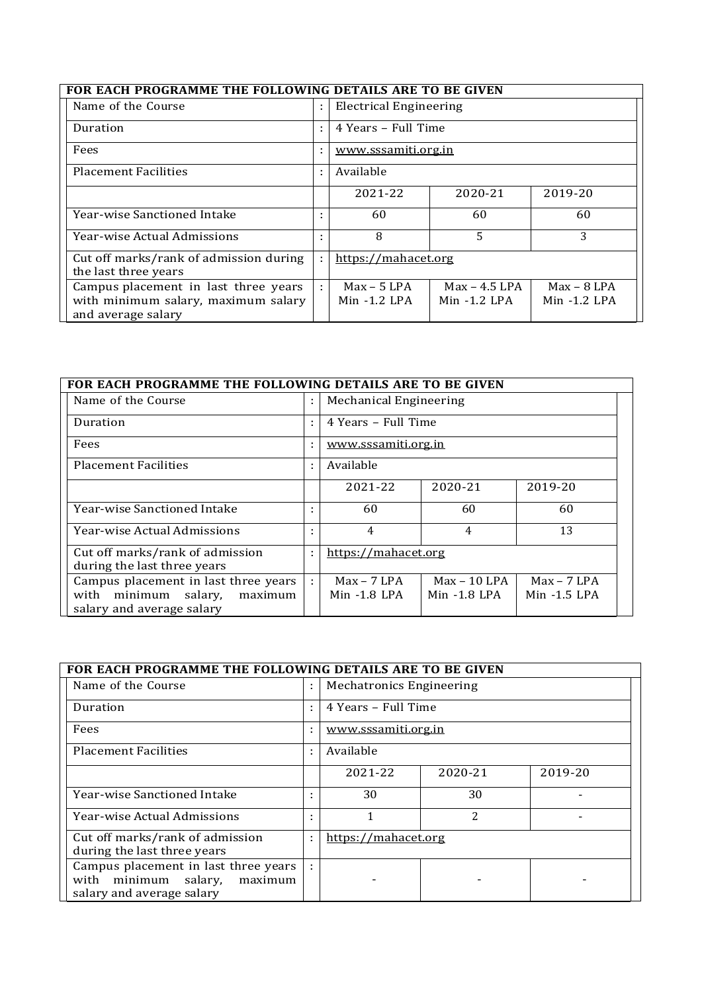| FOR EACH PROGRAMME THE FOLLOWING DETAILS ARE TO BE GIVEN                                          |   |                                            |                                   |                                 |  |
|---------------------------------------------------------------------------------------------------|---|--------------------------------------------|-----------------------------------|---------------------------------|--|
| Name of the Course                                                                                |   |                                            | <b>Electrical Engineering</b>     |                                 |  |
| Duration                                                                                          | ٠ | 4 Years - Full Time<br>www.sssamiti.org.in |                                   |                                 |  |
| Fees                                                                                              |   |                                            |                                   |                                 |  |
| <b>Placement Facilities</b>                                                                       | ÷ | Available                                  |                                   |                                 |  |
|                                                                                                   |   | 2021-22                                    | 2020-21                           | 2019-20                         |  |
| Year-wise Sanctioned Intake                                                                       |   | 60                                         | 60                                | 60                              |  |
| Year-wise Actual Admissions                                                                       |   | 8                                          | 5                                 | 3                               |  |
| Cut off marks/rank of admission during<br>the last three years                                    |   | https://mahacet.org                        |                                   |                                 |  |
| Campus placement in last three years<br>with minimum salary, maximum salary<br>and average salary | ÷ | $Max - 5$ LPA<br>$Min -1.2$ LPA            | $Max - 4.5$ LPA<br>$Min -1.2$ LPA | $Max - 8$ LPA<br>$Min -1.2$ LPA |  |

# **FOR EACH PROGRAMME THE FOLLOWING DETAILS ARE TO BE GIVEN**

| Name of the Course                                                                                         |                | Mechanical Engineering          |                                  |                                 |
|------------------------------------------------------------------------------------------------------------|----------------|---------------------------------|----------------------------------|---------------------------------|
| Duration                                                                                                   | ÷              | 4 Years - Full Time             |                                  |                                 |
| Fees                                                                                                       |                | www.sssamiti.org.in             |                                  |                                 |
| <b>Placement Facilities</b>                                                                                | Available<br>÷ |                                 |                                  |                                 |
|                                                                                                            |                | 2021-22                         | 2020-21                          | 2019-20                         |
| Year-wise Sanctioned Intake                                                                                | ٠              | 60                              | 60                               | 60                              |
| <b>Year-wise Actual Admissions</b>                                                                         |                | 4                               | 4                                | 13                              |
| Cut off marks/rank of admission<br>during the last three years                                             |                | https://mahacet.org             |                                  |                                 |
| Campus placement in last three years<br>salary,<br>with<br>minimum<br>maximum<br>salary and average salary | ÷              | $Max - 7$ LPA<br>$Min -1.8$ LPA | $Max - 10$ LPA<br>$Min -1.8$ LPA | $Max - 7$ LPA<br>$Min -1.5$ LPA |

٦

| FOR EACH PROGRAMME THE FOLLOWING DETAILS ARE TO BE GIVEN                                             |   |                          |                |         |  |
|------------------------------------------------------------------------------------------------------|---|--------------------------|----------------|---------|--|
| Name of the Course                                                                                   | ÷ | Mechatronics Engineering |                |         |  |
| Duration                                                                                             | ٠ | 4 Years – Full Time      |                |         |  |
| Fees                                                                                                 |   | www.sssamiti.org.in      |                |         |  |
| <b>Placement Facilities</b>                                                                          | ٠ | Available                |                |         |  |
|                                                                                                      |   | 2021-22                  | 2020-21        | 2019-20 |  |
| Year-wise Sanctioned Intake                                                                          |   | 30                       | 30             |         |  |
| <b>Year-wise Actual Admissions</b>                                                                   |   | 1                        | $\overline{2}$ |         |  |
| Cut off marks/rank of admission<br>during the last three years                                       | ٠ | https://mahacet.org      |                |         |  |
| Campus placement in last three years<br>with minimum salary,<br>maximum<br>salary and average salary |   |                          |                |         |  |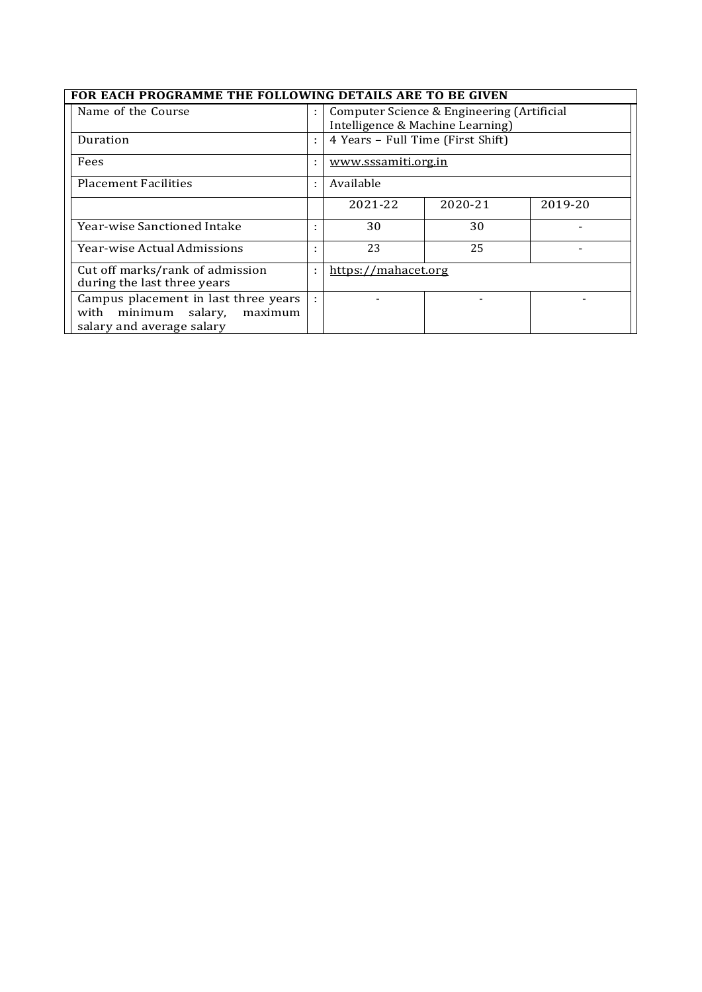| FOR EACH PROGRAMME THE FOLLOWING DETAILS ARE TO BE GIVEN |
|----------------------------------------------------------|
|                                                          |

| FOR EACH PROGRAMME THE FOLLOWING DETAILS ARE TO BE GIVEN                                                |                          |                                                                                |         |         |  |
|---------------------------------------------------------------------------------------------------------|--------------------------|--------------------------------------------------------------------------------|---------|---------|--|
| Name of the Course                                                                                      | ÷                        | Computer Science & Engineering (Artificial<br>Intelligence & Machine Learning) |         |         |  |
| Duration                                                                                                | ÷                        | 4 Years - Full Time (First Shift)                                              |         |         |  |
| Fees                                                                                                    |                          | www.sssamiti.org.in                                                            |         |         |  |
| Placement Facilities                                                                                    | ٠                        | Available                                                                      |         |         |  |
|                                                                                                         |                          | 2021-22                                                                        | 2020-21 | 2019-20 |  |
| Year-wise Sanctioned Intake                                                                             |                          | 30                                                                             | 30      |         |  |
| <b>Year-wise Actual Admissions</b>                                                                      | ٠                        | 23                                                                             | 25      |         |  |
| Cut off marks/rank of admission<br>during the last three years                                          | https://mahacet.org<br>٠ |                                                                                |         |         |  |
| Campus placement in last three years<br>minimum salary,<br>with<br>maximum<br>salary and average salary | ÷                        |                                                                                |         |         |  |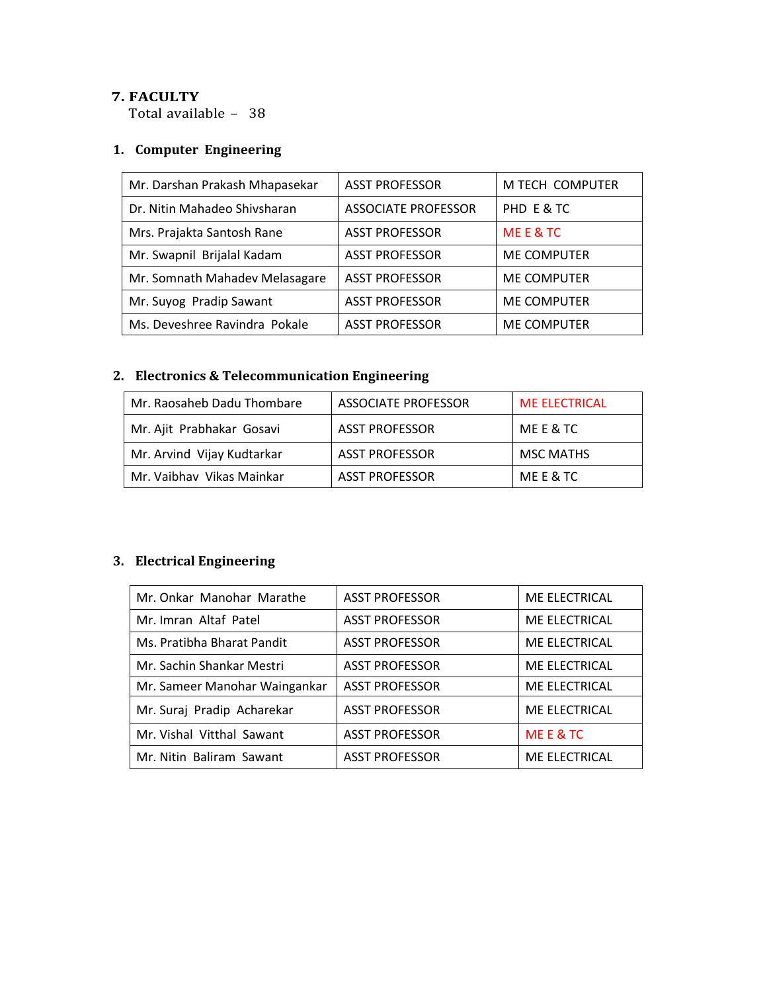### **7. FACULTY**

Total available - 38

## **1. Computer Engineering**

| Mr. Darshan Prakash Mhapasekar | <b>ASST PROFESSOR</b>      | M TECH COMPUTER    |
|--------------------------------|----------------------------|--------------------|
| Dr. Nitin Mahadeo Shivsharan   | <b>ASSOCIATE PROFESSOR</b> | PHD E & TC         |
| Mrs. Prajakta Santosh Rane     | <b>ASST PROFESSOR</b>      | MEE&TC             |
| Mr. Swapnil Brijalal Kadam     | <b>ASST PROFESSOR</b>      | <b>ME COMPUTER</b> |
| Mr. Somnath Mahadev Melasagare | <b>ASST PROFESSOR</b>      | <b>ME COMPUTER</b> |
| Mr. Suyog Pradip Sawant        | <b>ASST PROFESSOR</b>      | <b>ME COMPUTER</b> |
| Ms. Deveshree Ravindra Pokale  | <b>ASST PROFESSOR</b>      | <b>ME COMPUTER</b> |

# **2. Electronics & Telecommunication Engineering**

| Mr. Raosaheb Dadu Thombare | ASSOCIATE PROFESSOR   | <b>ME ELECTRICAL</b> |
|----------------------------|-----------------------|----------------------|
| Mr. Ajit Prabhakar Gosavi  | <b>ASST PROFESSOR</b> | ME E & TC            |
| Mr. Arvind Vijay Kudtarkar | <b>ASST PROFESSOR</b> | <b>MSC MATHS</b>     |
| Mr. Vaibhav Vikas Mainkar  | <b>ASST PROFESSOR</b> | ME E & TC            |

# **3. Electrical Engineering**

| Mr. Onkar Manohar Marathe     | <b>ASST PROFESSOR</b> | ME ELECTRICAL |
|-------------------------------|-----------------------|---------------|
| Mr. Imran Altaf Patel         | <b>ASST PROFESSOR</b> | ME ELECTRICAL |
| Ms. Pratibha Bharat Pandit    | <b>ASST PROFESSOR</b> | ME ELECTRICAL |
| Mr. Sachin Shankar Mestri     | <b>ASST PROFESSOR</b> | ME ELECTRICAL |
| Mr. Sameer Manohar Waingankar | <b>ASST PROFESSOR</b> | ME ELECTRICAL |
| Mr. Suraj Pradip Acharekar    | <b>ASST PROFESSOR</b> | ME ELECTRICAL |
| Mr. Vishal Vitthal Sawant     | <b>ASST PROFESSOR</b> | ME E & TC     |
| Mr. Nitin Baliram Sawant      | <b>ASST PROFESSOR</b> | ME ELECTRICAL |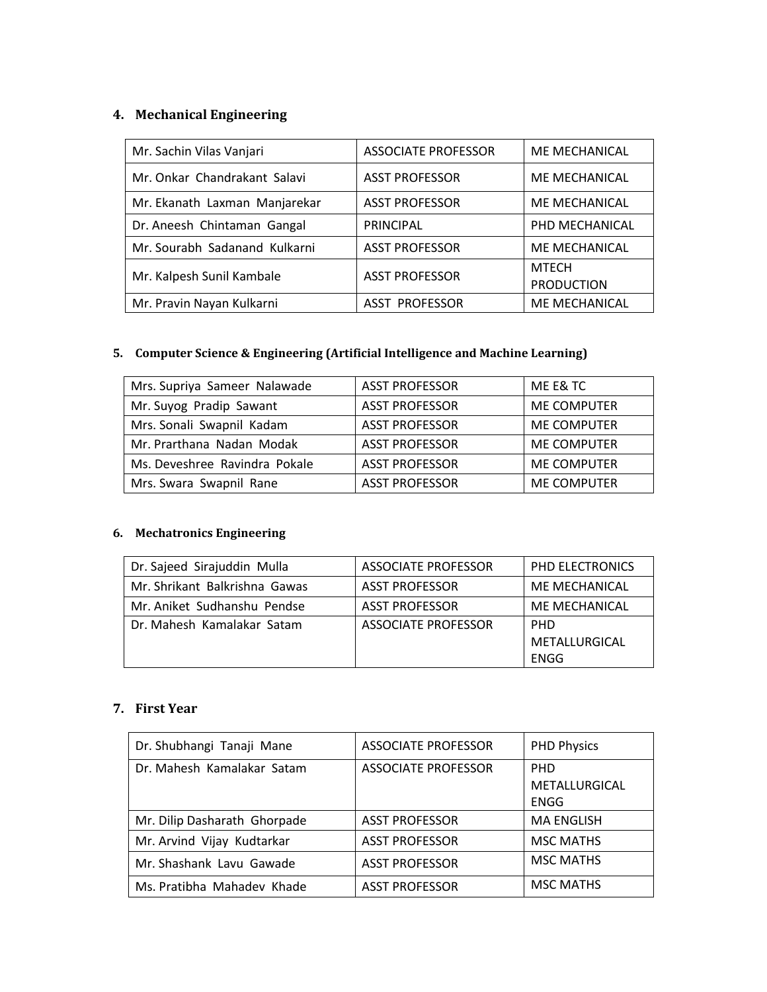# **4. Mechanical Engineering**

| Mr. Sachin Vilas Vanjari      | <b>ASSOCIATE PROFESSOR</b> | <b>ME MECHANICAL</b>              |
|-------------------------------|----------------------------|-----------------------------------|
| Mr. Onkar Chandrakant Salavi  | <b>ASST PROFESSOR</b>      | ME MECHANICAL                     |
| Mr. Ekanath Laxman Manjarekar | <b>ASST PROFESSOR</b>      | <b>ME MECHANICAL</b>              |
| Dr. Aneesh Chintaman Gangal   | <b>PRINCIPAL</b>           | PHD MECHANICAL                    |
| Mr. Sourabh Sadanand Kulkarni | <b>ASST PROFESSOR</b>      | ME MECHANICAL                     |
| Mr. Kalpesh Sunil Kambale     | <b>ASST PROFESSOR</b>      | <b>MTECH</b><br><b>PRODUCTION</b> |
| Mr. Pravin Nayan Kulkarni     | <b>ASST PROFESSOR</b>      | ME MECHANICAL                     |

# **5. Computer Science & Engineering (Artificial Intelligence and Machine Learning)**

| Mrs. Supriya Sameer Nalawade  | <b>ASST PROFESSOR</b> | ME E& TC           |
|-------------------------------|-----------------------|--------------------|
| Mr. Suyog Pradip Sawant       | <b>ASST PROFESSOR</b> | <b>ME COMPUTER</b> |
| Mrs. Sonali Swapnil Kadam     | <b>ASST PROFESSOR</b> | <b>ME COMPUTER</b> |
| Mr. Prarthana Nadan Modak     | <b>ASST PROFESSOR</b> | <b>ME COMPUTER</b> |
| Ms. Deveshree Ravindra Pokale | <b>ASST PROFESSOR</b> | <b>ME COMPUTER</b> |
| Mrs. Swara Swapnil Rane       | <b>ASST PROFESSOR</b> | <b>ME COMPUTER</b> |

### **6. Mechatronics Engineering**

| Dr. Sajeed Sirajuddin Mulla   | ASSOCIATE PROFESSOR   | PHD ELECTRONICS      |
|-------------------------------|-----------------------|----------------------|
| Mr. Shrikant Balkrishna Gawas | <b>ASST PROFESSOR</b> | <b>ME MECHANICAL</b> |
| Mr. Aniket Sudhanshu Pendse   | <b>ASST PROFESSOR</b> | <b>ME MECHANICAL</b> |
| Dr. Mahesh Kamalakar Satam    | ASSOCIATE PROFESSOR   | <b>PHD</b>           |
|                               |                       | METALLURGICAL        |
|                               |                       | ENGG                 |

### **7. First Year**

| Dr. Shubhangi Tanaji Mane    | <b>ASSOCIATE PROFESSOR</b> | <b>PHD Physics</b> |
|------------------------------|----------------------------|--------------------|
| Dr. Mahesh Kamalakar Satam   | ASSOCIATE PROFESSOR        | <b>PHD</b>         |
|                              |                            | METALLURGICAL      |
|                              |                            | <b>ENGG</b>        |
| Mr. Dilip Dasharath Ghorpade | <b>ASST PROFESSOR</b>      | <b>MA ENGLISH</b>  |
| Mr. Arvind Vijay Kudtarkar   | <b>ASST PROFESSOR</b>      | <b>MSC MATHS</b>   |
| Mr. Shashank Lavu Gawade     | <b>ASST PROFESSOR</b>      | <b>MSC MATHS</b>   |
| Ms. Pratibha Mahadev Khade   | <b>ASST PROFESSOR</b>      | <b>MSC MATHS</b>   |